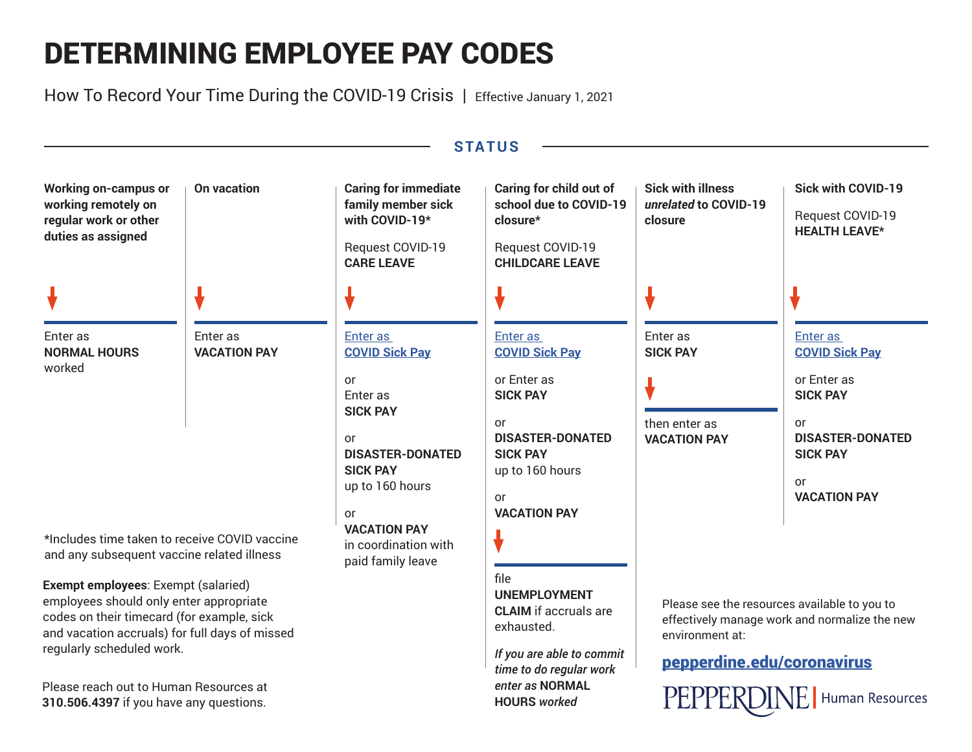# DETERMINING EMPLOYEE PAY CODES

How To Record Your Time During the COVID-19 Crisis | Effective January 1, 2021



**HOURS** *worked*

**310.506.4397** if you have any questions.